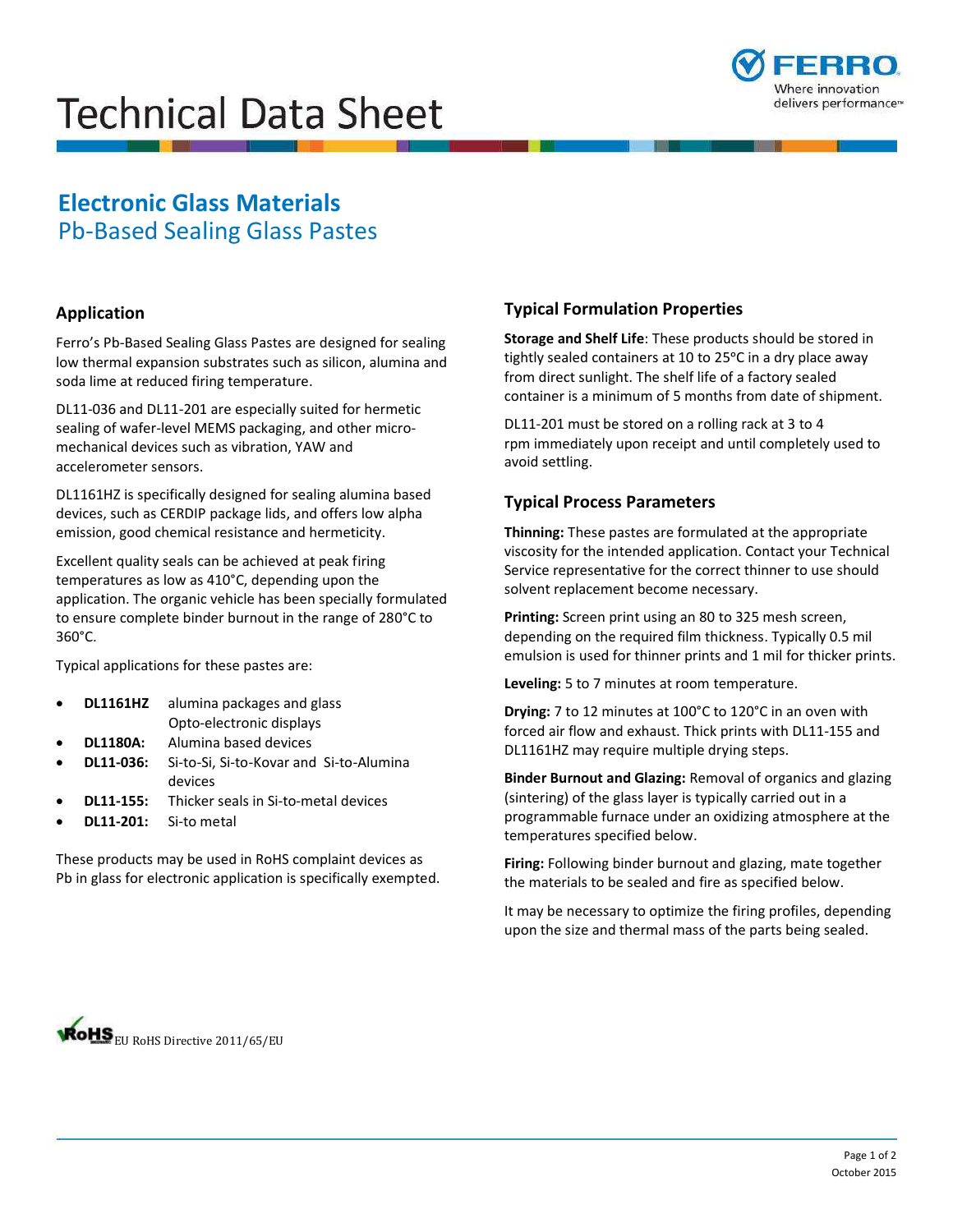# **Technical Data Sheet**



## **Electronic Glass Materials**  Pb-Based Sealing Glass Pastes

#### **Application**

Ferro's Pb-Based Sealing Glass Pastes are designed for sealing low thermal expansion substrates such as silicon, alumina and soda lime at reduced firing temperature.

DL11-036 and DL11-201 are especially suited for hermetic sealing of wafer-level MEMS packaging, and other micromechanical devices such as vibration, YAW and accelerometer sensors.

DL1161HZ is specifically designed for sealing alumina based devices, such as CERDIP package lids, and offers low alpha emission, good chemical resistance and hermeticity.

Excellent quality seals can be achieved at peak firing temperatures as low as 410°C, depending upon the application. The organic vehicle has been specially formulated to ensure complete binder burnout in the range of 280°C to 360°C.

Typical applications for these pastes are:

- **DL1161HZ** alumina packages and glass Opto-electronic displays
- **DL1180A:** Alumina based devices
- **DL11-036:** Si-to-Si, Si-to-Kovar and Si-to-Alumina devices
- **DL11-155:** Thicker seals in Si-to-metal devices
- **DL11-201:** Si-to metal

These products may be used in RoHS complaint devices as Pb in glass for electronic application is specifically exempted.

### **Typical Formulation Properties**

**Storage and Shelf Life**: These products should be stored in tightly sealed containers at 10 to 25°C in a dry place away from direct sunlight. The shelf life of a factory sealed container is a minimum of 5 months from date of shipment.

DL11-201 must be stored on a rolling rack at 3 to 4 rpm immediately upon receipt and until completely used to avoid settling.

#### **Typical Process Parameters**

**Thinning:** These pastes are formulated at the appropriate viscosity for the intended application. Contact your Technical Service representative for the correct thinner to use should solvent replacement become necessary.

**Printing:** Screen print using an 80 to 325 mesh screen, depending on the required film thickness. Typically 0.5 mil emulsion is used for thinner prints and 1 mil for thicker prints.

**Leveling:** 5 to 7 minutes at room temperature.

**Drying:** 7 to 12 minutes at 100°C to 120°C in an oven with forced air flow and exhaust. Thick prints with DL11-155 and DL1161HZ may require multiple drying steps.

**Binder Burnout and Glazing:** Removal of organics and glazing (sintering) of the glass layer is typically carried out in a programmable furnace under an oxidizing atmosphere at the temperatures specified below.

**Firing:** Following binder burnout and glazing, mate together the materials to be sealed and fire as specified below.

It may be necessary to optimize the firing profiles, depending upon the size and thermal mass of the parts being sealed.